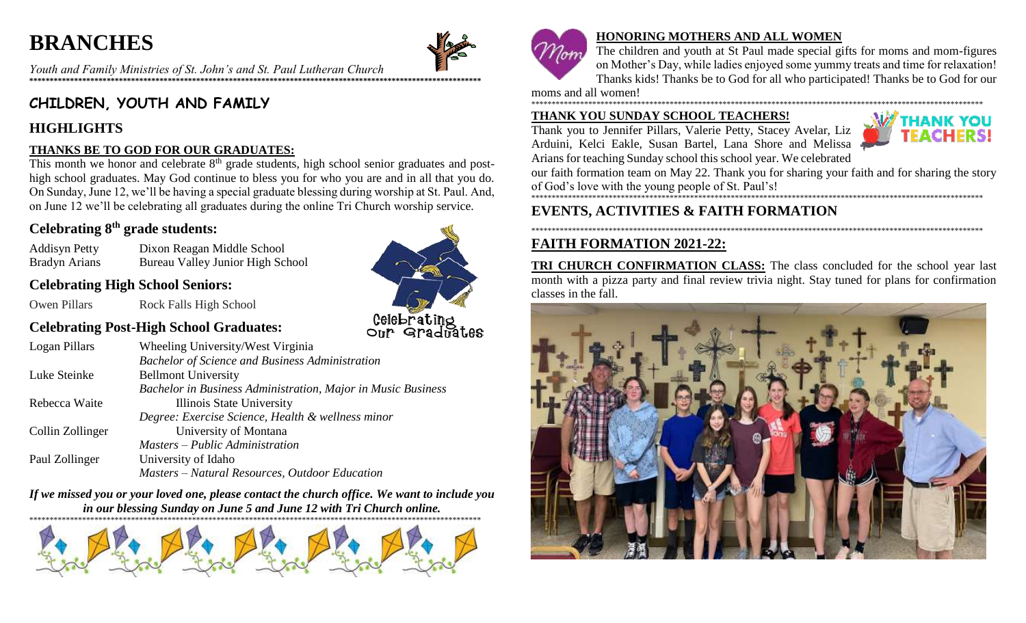# **BRANCHES**



Celebrating<br>Our Graduates

Youth and Family Ministries of St. John's and St. Paul Lutheran Church 

# CHILDREN, YOUTH AND FAMILY

### **HIGHLIGHTS**

#### THANKS BE TO GOD FOR OUR GRADUATES:

This month we honor and celebrate  $8<sup>th</sup>$  grade students, high school senior graduates and posthigh school graduates. May God continue to bless you for who you are and in all that you do. On Sunday, June 12, we'll be having a special graduate blessing during worship at St. Paul. And, on June 12 we'll be celebrating all graduates during the online Tri Church worship service.

### Celebrating 8<sup>th</sup> grade students:

**Addisyn Petty** Dixon Reagan Middle School **Bradyn Arians Bureau Valley Junior High School** 

### **Celebrating High School Seniors:**

Rock Falls High School Owen Pillars



| Celebrating I ust-ring inscribed Graduates: |                                                        |  |
|---------------------------------------------|--------------------------------------------------------|--|
| Logan Pillars                               | Wheeling University/West Virginia                      |  |
|                                             | <b>Bachelor of Science and Business Administration</b> |  |

|                  | <b>DUCHELOF OF SCIENCE and Dusiness Administration</b>       |
|------------------|--------------------------------------------------------------|
| Luke Steinke     | <b>Bellmont University</b>                                   |
|                  | Bachelor in Business Administration, Major in Music Business |
| Rebecca Waite    | Illinois State University                                    |
|                  | Degree: Exercise Science, Health & wellness minor            |
| Collin Zollinger | University of Montana                                        |
|                  | Masters – Public Administration                              |
| Paul Zollinger   | University of Idaho                                          |
|                  | Masters – Natural Resources, Outdoor Education               |
|                  |                                                              |

If we missed you or your loved one, please contact the church office. We want to include you in our blessing Sunday on June 5 and June 12 with Tri Church online.





#### **HONORING MOTHERS AND ALL WOMEN**

The children and youth at St Paul made special gifts for moms and mom-figures on Mother's Day, while ladies enjoyed some yummy treats and time for relaxation! Thanks kids! Thanks be to God for all who participated! Thanks be to God for our

moms and all women! 

#### THANK YOU SUNDAY SCHOOL TEACHERS!

Thank you to Jennifer Pillars, Valerie Petty, Stacey Avelar, Liz Arduini, Kelci Eakle, Susan Bartel, Lana Shore and Melissa Arians for teaching Sunday school this school year. We celebrated



our faith formation team on May 22. Thank you for sharing your faith and for sharing the story 

## **EVENTS, ACTIVITIES & FAITH FORMATION**

# **FAITH FORMATION 2021-22:**

**TRI CHURCH CONFIRMATION CLASS:** The class concluded for the school year last month with a pizza party and final review trivia night. Stay tuned for plans for confirmation classes in the fall.